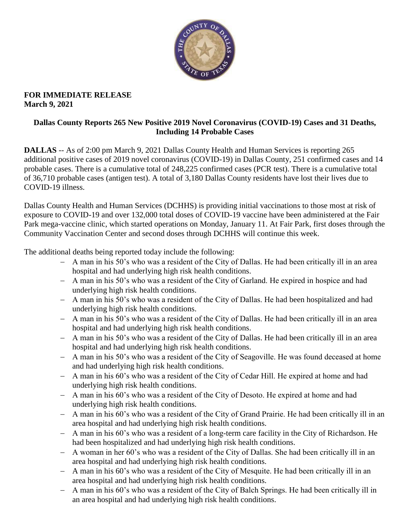

#### **FOR IMMEDIATE RELEASE March 9, 2021**

### **Dallas County Reports 265 New Positive 2019 Novel Coronavirus (COVID-19) Cases and 31 Deaths, Including 14 Probable Cases**

**DALLAS** -- As of 2:00 pm March 9, 2021 Dallas County Health and Human Services is reporting 265 additional positive cases of 2019 novel coronavirus (COVID-19) in Dallas County, 251 confirmed cases and 14 probable cases. There is a cumulative total of 248,225 confirmed cases (PCR test). There is a cumulative total of 36,710 probable cases (antigen test). A total of 3,180 Dallas County residents have lost their lives due to COVID-19 illness.

Dallas County Health and Human Services (DCHHS) is providing initial vaccinations to those most at risk of exposure to COVID-19 and over 132,000 total doses of COVID-19 vaccine have been administered at the Fair Park mega-vaccine clinic, which started operations on Monday, January 11. At Fair Park, first doses through the Community Vaccination Center and second doses through DCHHS will continue this week.

The additional deaths being reported today include the following:

- A man in his 50's who was a resident of the City of Dallas. He had been critically ill in an area hospital and had underlying high risk health conditions.
- A man in his 50's who was a resident of the City of Garland. He expired in hospice and had underlying high risk health conditions.
- A man in his 50's who was a resident of the City of Dallas. He had been hospitalized and had underlying high risk health conditions.
- A man in his 50's who was a resident of the City of Dallas. He had been critically ill in an area hospital and had underlying high risk health conditions.
- A man in his 50's who was a resident of the City of Dallas. He had been critically ill in an area hospital and had underlying high risk health conditions.
- A man in his 50's who was a resident of the City of Seagoville. He was found deceased at home and had underlying high risk health conditions.
- A man in his 60's who was a resident of the City of Cedar Hill. He expired at home and had underlying high risk health conditions.
- A man in his 60's who was a resident of the City of Desoto. He expired at home and had underlying high risk health conditions.
- A man in his 60's who was a resident of the City of Grand Prairie. He had been critically ill in an area hospital and had underlying high risk health conditions.
- A man in his 60's who was a resident of a long-term care facility in the City of Richardson. He had been hospitalized and had underlying high risk health conditions.
- A woman in her 60's who was a resident of the City of Dallas. She had been critically ill in an area hospital and had underlying high risk health conditions.
- A man in his 60's who was a resident of the City of Mesquite. He had been critically ill in an area hospital and had underlying high risk health conditions.
- A man in his 60's who was a resident of the City of Balch Springs. He had been critically ill in an area hospital and had underlying high risk health conditions.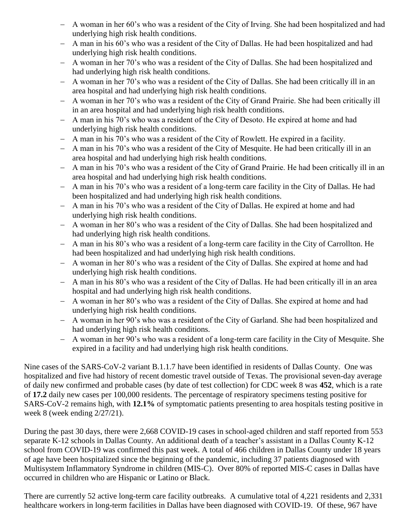- A woman in her 60's who was a resident of the City of Irving. She had been hospitalized and had underlying high risk health conditions.
- A man in his 60's who was a resident of the City of Dallas. He had been hospitalized and had underlying high risk health conditions.
- A woman in her 70's who was a resident of the City of Dallas. She had been hospitalized and had underlying high risk health conditions.
- A woman in her 70's who was a resident of the City of Dallas. She had been critically ill in an area hospital and had underlying high risk health conditions.
- A woman in her 70's who was a resident of the City of Grand Prairie. She had been critically ill in an area hospital and had underlying high risk health conditions.
- A man in his 70's who was a resident of the City of Desoto. He expired at home and had underlying high risk health conditions.
- A man in his 70's who was a resident of the City of Rowlett. He expired in a facility.
- A man in his 70's who was a resident of the City of Mesquite. He had been critically ill in an area hospital and had underlying high risk health conditions.
- A man in his 70's who was a resident of the City of Grand Prairie. He had been critically ill in an area hospital and had underlying high risk health conditions.
- A man in his 70's who was a resident of a long-term care facility in the City of Dallas. He had been hospitalized and had underlying high risk health conditions.
- A man in his 70's who was a resident of the City of Dallas. He expired at home and had underlying high risk health conditions.
- A woman in her 80's who was a resident of the City of Dallas. She had been hospitalized and had underlying high risk health conditions.
- A man in his 80's who was a resident of a long-term care facility in the City of Carrollton. He had been hospitalized and had underlying high risk health conditions.
- A woman in her 80's who was a resident of the City of Dallas. She expired at home and had underlying high risk health conditions.
- A man in his 80's who was a resident of the City of Dallas. He had been critically ill in an area hospital and had underlying high risk health conditions.
- A woman in her 80's who was a resident of the City of Dallas. She expired at home and had underlying high risk health conditions.
- A woman in her 90's who was a resident of the City of Garland. She had been hospitalized and had underlying high risk health conditions.
- A woman in her 90's who was a resident of a long-term care facility in the City of Mesquite. She expired in a facility and had underlying high risk health conditions.

Nine cases of the SARS-CoV-2 variant B.1.1.7 have been identified in residents of Dallas County. One was hospitalized and five had history of recent domestic travel outside of Texas. The provisional seven-day average of daily new confirmed and probable cases (by date of test collection) for CDC week 8 was **452**, which is a rate of **17.2** daily new cases per 100,000 residents. The percentage of respiratory specimens testing positive for SARS-CoV-2 remains high, with **12.1%** of symptomatic patients presenting to area hospitals testing positive in week 8 (week ending 2/27/21).

During the past 30 days, there were 2,668 COVID-19 cases in school-aged children and staff reported from 553 separate K-12 schools in Dallas County. An additional death of a teacher's assistant in a Dallas County K-12 school from COVID-19 was confirmed this past week. A total of 466 children in Dallas County under 18 years of age have been hospitalized since the beginning of the pandemic, including 37 patients diagnosed with Multisystem Inflammatory Syndrome in children (MIS-C). Over 80% of reported MIS-C cases in Dallas have occurred in children who are Hispanic or Latino or Black.

There are currently 52 active long-term care facility outbreaks. A cumulative total of 4,221 residents and 2,331 healthcare workers in long-term facilities in Dallas have been diagnosed with COVID-19. Of these, 967 have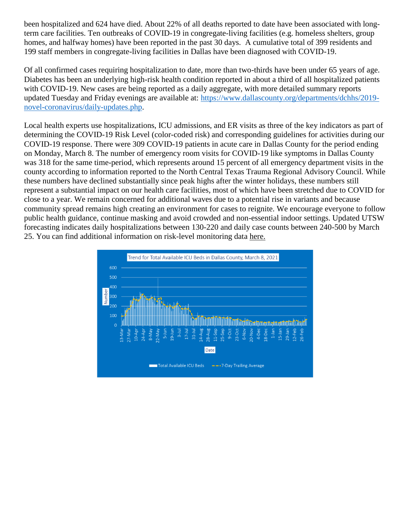been hospitalized and 624 have died. About 22% of all deaths reported to date have been associated with longterm care facilities. Ten outbreaks of COVID-19 in congregate-living facilities (e.g. homeless shelters, group homes, and halfway homes) have been reported in the past 30 days. A cumulative total of 399 residents and 199 staff members in congregate-living facilities in Dallas have been diagnosed with COVID-19.

Of all confirmed cases requiring hospitalization to date, more than two-thirds have been under 65 years of age. Diabetes has been an underlying high-risk health condition reported in about a third of all hospitalized patients with COVID-19. New cases are being reported as a daily aggregate, with more detailed summary reports updated Tuesday and Friday evenings are available at: [https://www.dallascounty.org/departments/dchhs/2019](https://www.dallascounty.org/departments/dchhs/2019-novel-coronavirus/daily-updates.php) [novel-coronavirus/daily-updates.php.](https://www.dallascounty.org/departments/dchhs/2019-novel-coronavirus/daily-updates.php)

Local health experts use hospitalizations, ICU admissions, and ER visits as three of the key indicators as part of determining the COVID-19 Risk Level (color-coded risk) and corresponding guidelines for activities during our COVID-19 response. There were 309 COVID-19 patients in acute care in Dallas County for the period ending on Monday, March 8. The number of emergency room visits for COVID-19 like symptoms in Dallas County was 318 for the same time-period, which represents around 15 percent of all emergency department visits in the county according to information reported to the North Central Texas Trauma Regional Advisory Council. While these numbers have declined substantially since peak highs after the winter holidays, these numbers still represent a substantial impact on our health care facilities, most of which have been stretched due to COVID for close to a year. We remain concerned for additional waves due to a potential rise in variants and because community spread remains high creating an environment for cases to reignite. We encourage everyone to follow public health guidance, continue masking and avoid crowded and non-essential indoor settings. Updated UTSW forecasting indicates daily hospitalizations between 130-220 and daily case counts between 240-500 by March 25. You can find additional information on risk-level monitoring data [here.](https://www.dallascounty.org/Assets/uploads/docs/hhs/2019-nCoV/C-19-risklevelmgmt/030821-DallasCounty-COVID-19-Hospitalization-Data.pdf)

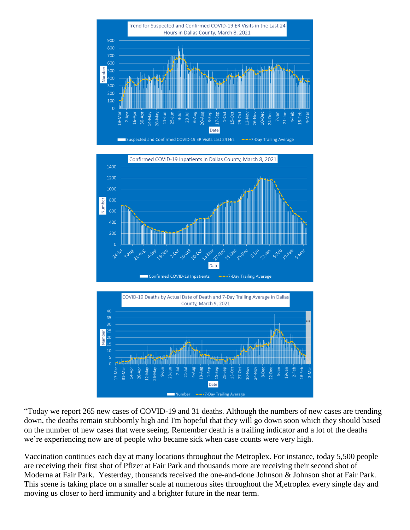





"Today we report 265 new cases of COVID-19 and 31 deaths. Although the numbers of new cases are trending down, the deaths remain stubbornly high and I'm hopeful that they will go down soon which they should based on the number of new cases that were seeing. Remember death is a trailing indicator and a lot of the deaths we're experiencing now are of people who became sick when case counts were very high.

Vaccination continues each day at many locations throughout the Metroplex. For instance, today 5,500 people are receiving their first shot of Pfizer at Fair Park and thousands more are receiving their second shot of Moderna at Fair Park. Yesterday, thousands received the one-and-done Johnson & Johnson shot at Fair Park. This scene is taking place on a smaller scale at numerous sites throughout the M,etroplex every single day and moving us closer to herd immunity and a brighter future in the near term.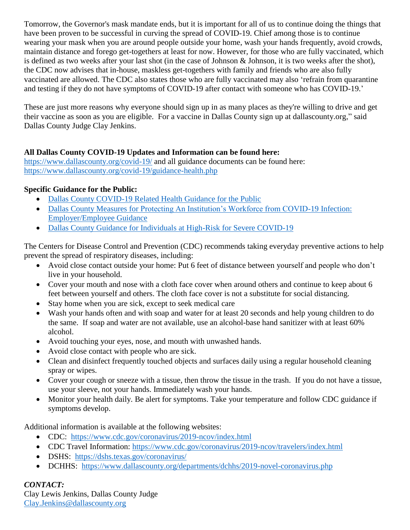Tomorrow, the Governor's mask mandate ends, but it is important for all of us to continue doing the things that have been proven to be successful in curving the spread of COVID-19. Chief among those is to continue wearing your mask when you are around people outside your home, wash your hands frequently, avoid crowds, maintain distance and forego get-togethers at least for now. However, for those who are fully vaccinated, which is defined as two weeks after your last shot (in the case of Johnson  $\&$  Johnson, it is two weeks after the shot), the CDC now advises that in-house, maskless get-togethers with family and friends who are also fully vaccinated are allowed. The CDC also states those who are fully vaccinated may also 'refrain from quarantine and testing if they do not have symptoms of COVID-19 after contact with someone who has COVID-19.'

These are just more reasons why everyone should sign up in as many places as they're willing to drive and get their vaccine as soon as you are eligible. For a vaccine in Dallas County sign up at dallascounty.org," said Dallas County Judge Clay Jenkins.

### **All Dallas County COVID-19 Updates and Information can be found here:**

<https://www.dallascounty.org/covid-19/> and all guidance documents can be found here: <https://www.dallascounty.org/covid-19/guidance-health.php>

## **Specific Guidance for the Public:**

- [Dallas County COVID-19 Related Health Guidance for the Public](https://www.dallascounty.org/Assets/uploads/docs/covid-19/community/Dallas-CovidGeneralGuidelines-060620.pdf)
- [Dallas County Measures for Protecting An Institution's Workforce from COVID-19 Infection:](https://www.dallascounty.org/Assets/uploads/docs/covid-19/community/Dallas_Covid_Employer_Guidance_FINAL.pdf)  [Employer/Employee Guidance](https://www.dallascounty.org/Assets/uploads/docs/covid-19/community/Dallas_Covid_Employer_Guidance_FINAL.pdf)
- [Dallas County Guidance for Individuals at High-Risk for Severe COVID-19](https://www.dallascounty.org/Assets/uploads/docs/covid-19/community/Dallas_HighRiskGuidelines.pdf)

The Centers for Disease Control and Prevention (CDC) recommends taking everyday preventive actions to help prevent the spread of respiratory diseases, including:

- Avoid close contact outside your home: Put 6 feet of distance between yourself and people who don't live in your household.
- Cover your mouth and nose with a cloth face cover when around others and continue to keep about 6 feet between yourself and others. The cloth face cover is not a substitute for social distancing.
- Stay home when you are sick, except to seek medical care
- Wash your hands often and with soap and water for at least 20 seconds and help young children to do the same. If soap and water are not available, use an alcohol-base hand sanitizer with at least 60% alcohol.
- Avoid touching your eyes, nose, and mouth with unwashed hands.
- Avoid close contact with people who are sick.
- Clean and disinfect frequently touched objects and surfaces daily using a regular household cleaning spray or wipes.
- Cover your cough or sneeze with a tissue, then throw the tissue in the trash. If you do not have a tissue, use your sleeve, not your hands. Immediately wash your hands.
- Monitor your health daily. Be alert for symptoms. Take your temperature and follow CDC guidance if symptoms develop.

Additional information is available at the following websites:

- CDC: <https://www.cdc.gov/coronavirus/2019-ncov/index.html>
- CDC Travel Information:<https://www.cdc.gov/coronavirus/2019-ncov/travelers/index.html>
- DSHS: <https://dshs.texas.gov/coronavirus/>
- DCHHS: <https://www.dallascounty.org/departments/dchhs/2019-novel-coronavirus.php>

# *CONTACT:*

Clay Lewis Jenkins, Dallas County Judge [Clay.Jenkins@dallascounty.org](mailto:Clay.Jenkins@dallascounty.org)